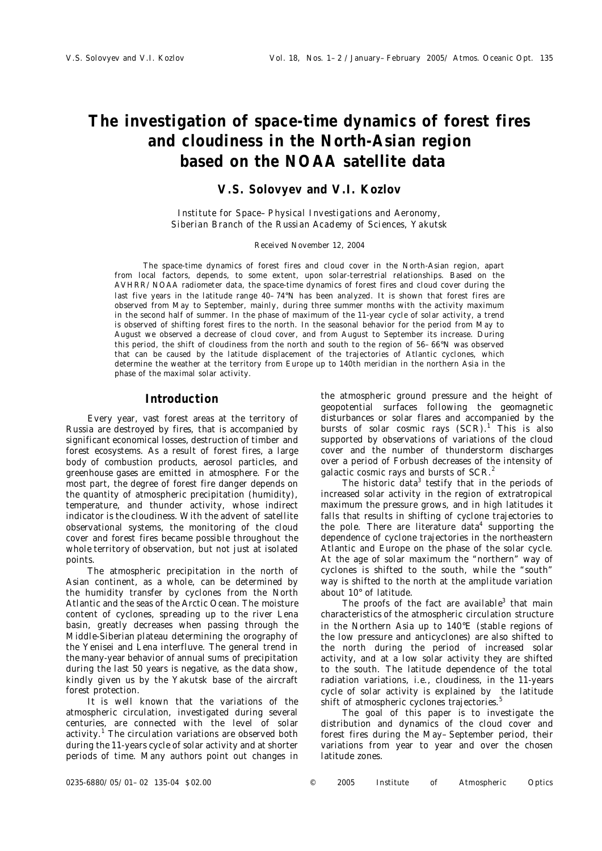# **The investigation of space-time dynamics of forest fires and cloudiness in the North-Asian region based on the NOAA satellite data**

## **V.S. Solovyev and V.I. Kozlov**

*Institute for Space–Physical Investigations and Aeronomy, Siberian Branch of the Russian Academy of Sciences, Yakutsk*

#### Received November 12, 2004

The space-time dynamics of forest fires and cloud cover in the North-Asian region, apart from local factors, depends, to some extent, upon solar-terrestrial relationships. Based on the AVHRR/NOAA radiometer data, the space-time dynamics of forest fires and cloud cover during the last five years in the latitude range 40–74°N has been analyzed. It is shown that forest fires are observed from May to September, mainly, during three summer months with the activity maximum in the second half of summer. In the phase of maximum of the 11-year cycle of solar activity, a trend is observed of shifting forest fires to the north. In the seasonal behavior for the period from May to August we observed a decrease of cloud cover, and from August to September its increase. During this period, the shift of cloudiness from the north and south to the region of 56–66°N was observed that can be caused by the latitude displacement of the trajectories of Atlantic cyclones, which determine the weather at the territory from Europe up to 140th meridian in the northern Asia in the phase of the maximal solar activity.

#### **Introduction**

Every year, vast forest areas at the territory of Russia are destroyed by fires, that is accompanied by significant economical losses, destruction of timber and forest ecosystems. As a result of forest fires, a large body of combustion products, aerosol particles, and greenhouse gases are emitted in atmosphere. For the most part, the degree of forest fire danger depends on the quantity of atmospheric precipitation (humidity), temperature, and thunder activity, whose indirect indicator is the cloudiness. With the advent of satellite observational systems, the monitoring of the cloud cover and forest fires became possible throughout the whole territory of observation, but not just at isolated points.

The atmospheric precipitation in the north of Asian continent, as a whole, can be determined by the humidity transfer by cyclones from the North Atlantic and the seas of the Arctic Ocean. The moisture content of cyclones, spreading up to the river Lena basin, greatly decreases when passing through the Middle-Siberian plateau determining the orography of the Yenisei and Lena interfluve. The general trend in the many-year behavior of annual sums of precipitation during the last 50 years is negative, as the data show, kindly given us by the Yakutsk base of the aircraft forest protection.

It is well known that the variations of the atmospheric circulation, investigated during several centuries, are connected with the level of solar activity.<sup>1</sup> The circulation variations are observed both during the 11-years cycle of solar activity and at shorter periods of time. Many authors point out changes in the atmospheric ground pressure and the height of geopotential surfaces following the geomagnetic disturbances or solar flares and accompanied by the bursts of solar cosmic rays  $(SCR)^{1}$ . This is also supported by observations of variations of the cloud cover and the number of thunderstorm discharges over a period of Forbush decreases of the intensity of galactic cosmic rays and bursts of SCR.<sup>2</sup>

The historic data<sup>3</sup> testify that in the periods of increased solar activity in the region of extratropical maximum the pressure grows, and in high latitudes it falls that results in shifting of cyclone trajectories to the pole. There are literature data<sup>4</sup> supporting the dependence of cyclone trajectories in the northeastern Atlantic and Europe on the phase of the solar cycle. At the age of solar maximum the "northern" way of cyclones is shifted to the south, while the "south" way is shifted to the north at the amplitude variation about 10° of latitude.

The proofs of the fact are available $3$  that main characteristics of the atmospheric circulation structure in the Northern Asia up to 140°E (stable regions of the low pressure and anticyclones) are also shifted to the north during the period of increased solar activity, and at a low solar activity they are shifted to the south. The latitude dependence of the total radiation variations, i.e., cloudiness, in the 11-years cycle of solar activity is explained by the latitude shift of atmospheric cyclones trajectories.<sup>5</sup>

The goal of this paper is to investigate the distribution and dynamics of the cloud cover and forest fires during the May–September period, their variations from year to year and over the chosen latitude zones.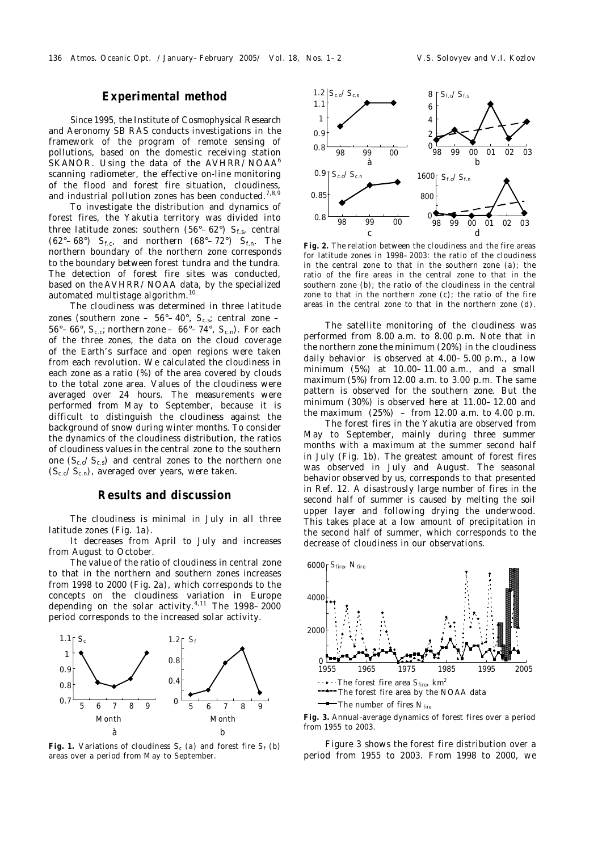### **Experimental method**

Since 1995, the Institute of Cosmophysical Research and Aeronomy SB RAS conducts investigations in the framework of the program of remote sensing of pollutions, based on the domestic receiving station SKANOR. Using the data of the AVHRR/NOAA<sup>6</sup> scanning radiometer, the effective on-line monitoring of the flood and forest fire situation, cloudiness, and industrial pollution zones has been conducted. $7,8,9$ 

To investigate the distribution and dynamics of forest fires, the Yakutia territory was divided into three latitude zones: southern (56°-62°) S<sub>f.s</sub>, central  $(62^{\circ}-68^{\circ})$  *S*<sub>f.c</sub>, and northern  $(68^{\circ}-72^{\circ})$  *S*<sub>f.n</sub>. The northern boundary of the northern zone corresponds to the boundary between forest tundra and the tundra. The detection of forest fire sites was conducted, based on the AVHRR/NOAA data, by the specialized automated multistage algorithm.<sup>10</sup>

The cloudiness was determined in three latitude zones (southern zone – 56°–40°, *S*c.s; central zone – 56°–66°, *S*c.c; northern zone – 66°–74°, *S*c.n). For each of the three zones, the data on the cloud coverage of the Earth's surface and open regions were taken from each revolution. We calculated the cloudiness in each zone as a ratio (%) of the area covered by clouds to the total zone area. Values of the cloudiness were averaged over 24 hours. The measurements were performed from May to September, because it is difficult to distinguish the cloudiness against the background of snow during winter months. To consider the dynamics of the cloudiness distribution, the ratios of cloudiness values in the central zone to the southern one  $(S_{c,c}/S_{c,s})$  and central zones to the northern one  $(S_{c.c}/S_{c.n})$ , averaged over years, were taken.

#### **Results and discussion**

The cloudiness is minimal in July in all three latitude zones (Fig. 1*a*).

It decreases from April to July and increases from August to October.

The value of the ratio of cloudiness in central zone to that in the northern and southern zones increases from 1998 to 2000 (Fig. 2*a*), which corresponds to the concepts on the cloudiness variation in Europe depending on the solar activity.4,11 The 1998–2000 period corresponds to the increased solar activity.



**Fig. 1.** Variations of cloudiness  $S_c$  (*a*) and forest fire  $S_f$  (*b*) areas over a period from May to September.



**Fig. 2.** The relation between the cloudiness and the fire areas for latitude zones in 1998–2003: the ratio of the cloudiness in the central zone to that in the southern zone (*a*); the ratio of the fire areas in the central zone to that in the southern zone (*b*); the ratio of the cloudiness in the central zone to that in the northern zone (*c*); the ratio of the fire areas in the central zone to that in the northern zone (*d*).

The satellite monitoring of the cloudiness was performed from 8.00 a.m. to 8.00 p.m. Note that in the northern zone the minimum (20%) in the cloudiness daily behavior is observed at 4.00–5.00 p.m., a low minimum (5%) at 10.00–11.00 a.m., and a small maximum (5%) from 12.00 a.m. to 3.00 p.m. The same pattern is observed for the southern zone. But the minimum (30%) is observed here at 11.00–12.00 and the maximum  $(25%) - from 12.00 a.m. to 4.00 p.m.$ 

The forest fires in the Yakutia are observed from May to September, mainly during three summer months with a maximum at the summer second half in July (Fig. 1*b*). The greatest amount of forest fires was observed in July and August. The seasonal behavior observed by us, corresponds to that presented in Ref. 12. A disastrously large number of fires in the second half of summer is caused by melting the soil upper layer and following drying the underwood. This takes place at a low amount of precipitation in the second half of summer, which corresponds to the decrease of cloudiness in our observations.



**Fig. 3.** Annual-average dynamics of forest fires over a period from 1955 to 2003.

Figure 3 shows the forest fire distribution over a period from 1955 to 2003. From 1998 to 2000, we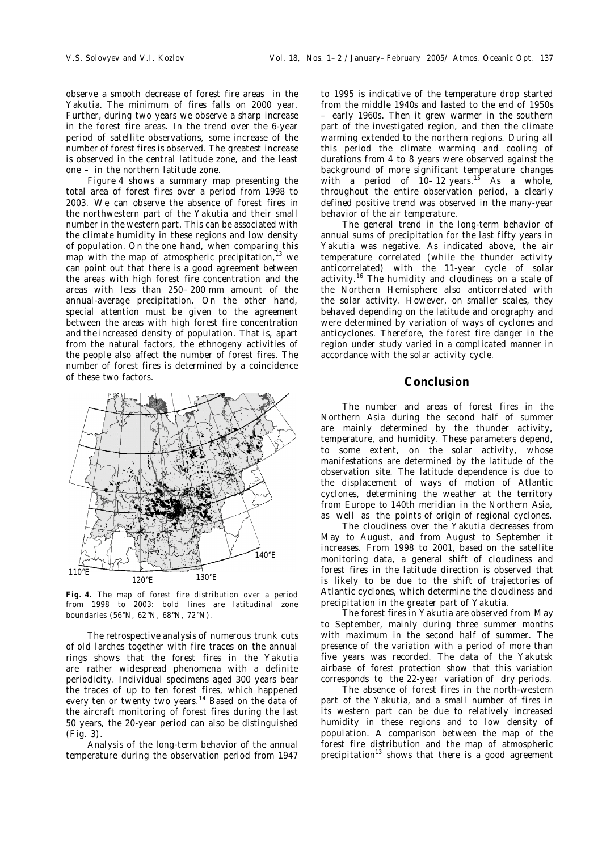observe a smooth decrease of forest fire areas in the Yakutia. The minimum of fires falls on 2000 year. Further, during two years we observe a sharp increase in the forest fire areas. In the trend over the 6-year period of satellite observations, some increase of the number of forest fires is observed. The greatest increase is observed in the central latitude zone, and the least one – in the northern latitude zone.

Figure 4 shows a summary map presenting the total area of forest fires over a period from 1998 to 2003. We can observe the absence of forest fires in the northwestern part of the Yakutia and their small number in the western part. This can be associated with the climate humidity in these regions and low density of population. On the one hand, when comparing this map with the map of atmospheric precipitation, $13$  we can point out that there is a good agreement between the areas with high forest fire concentration and the areas with less than 250–200 mm amount of the annual-average precipitation. On the other hand, special attention must be given to the agreement between the areas with high forest fire concentration and the increased density of population. That is, apart from the natural factors, the ethnogeny activities of the people also affect the number of forest fires. The number of forest fires is determined by a coincidence of these two factors.



**Fig. 4.** The map of forest fire distribution over a period from 1998 to 2003: bold lines are latitudinal zone boundaries (56°N, 62°N, 68°N, 72°N).

The retrospective analysis of numerous trunk cuts of old larches together with fire traces on the annual rings shows that the forest fires in the Yakutia are rather widespread phenomena with a definite periodicity. Individual specimens aged 300 years bear the traces of up to ten forest fires, which happened every ten or twenty two years.<sup>14</sup> Based on the data of the aircraft monitoring of forest fires during the last 50 years, the 20-year period can also be distinguished (Fig. 3).

Analysis of the long-term behavior of the annual temperature during the observation period from 1947

to 1995 is indicative of the temperature drop started from the middle 1940s and lasted to the end of 1950s – early 1960s. Then it grew warmer in the southern part of the investigated region, and then the climate warming extended to the northern regions. During all this period the climate warming and cooling of durations from 4 to 8 years were observed against the background of more significant temperature changes with a period of  $10-12$  years.<sup>15</sup> As a whole, throughout the entire observation period, a clearly defined positive trend was observed in the many-year behavior of the air temperature.

The general trend in the long-term behavior of annual sums of precipitation for the last fifty years in Yakutia was negative. As indicated above, the air temperature correlated (while the thunder activity anticorrelated) with the 11-year cycle of solar activity.<sup>16</sup> The humidity and cloudiness on a scale of the Northern Hemisphere also anticorrelated with the solar activity. However, on smaller scales, they behaved depending on the latitude and orography and were determined by variation of ways of cyclones and anticyclones. Therefore, the forest fire danger in the region under study varied in a complicated manner in accordance with the solar activity cycle.

#### **Conclusion**

The number and areas of forest fires in the Northern Asia during the second half of summer are mainly determined by the thunder activity, temperature, and humidity. These parameters depend, to some extent, on the solar activity, whose manifestations are determined by the latitude of the observation site. The latitude dependence is due to the displacement of ways of motion of Atlantic cyclones, determining the weather at the territory from Europe to 140th meridian in the Northern Asia, as well as the points of origin of regional cyclones.

The cloudiness over the Yakutia decreases from May to August, and from August to September it increases. From 1998 to 2001, based on the satellite monitoring data, a general shift of cloudiness and forest fires in the latitude direction is observed that is likely to be due to the shift of trajectories of Atlantic cyclones, which determine the cloudiness and precipitation in the greater part of Yakutia.

The forest fires in Yakutia are observed from May to September, mainly during three summer months with maximum in the second half of summer. The presence of the variation with a period of more than five years was recorded. The data of the Yakutsk airbase of forest protection show that this variation corresponds to the 22-year variation of dry periods.

The absence of forest fires in the north-western part of the Yakutia, and a small number of fires in its western part can be due to relatively increased humidity in these regions and to low density of population. A comparison between the map of the forest fire distribution and the map of atmospheric precipitation<sup>13</sup> shows that there is a good agreement